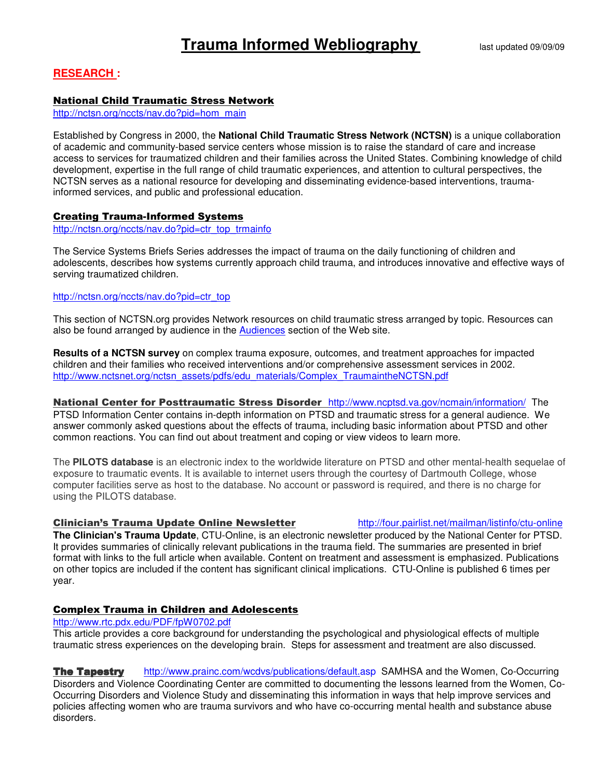# **RESEARCH :**

# National Child Traumatic Stress Network

http://nctsn.org/nccts/nav.do?pid=hom\_main

Established by Congress in 2000, the **National Child Traumatic Stress Network (NCTSN)** is a unique collaboration of academic and community-based service centers whose mission is to raise the standard of care and increase access to services for traumatized children and their families across the United States. Combining knowledge of child development, expertise in the full range of child traumatic experiences, and attention to cultural perspectives, the NCTSN serves as a national resource for developing and disseminating evidence-based interventions, traumainformed services, and public and professional education.

# Creating Trauma-Informed Systems

http://nctsn.org/nccts/nav.do?pid=ctr\_top\_trmainfo

The Service Systems Briefs Series addresses the impact of trauma on the daily functioning of children and adolescents, describes how systems currently approach child trauma, and introduces innovative and effective ways of serving traumatized children.

## http://nctsn.org/nccts/nav.do?pid=ctr\_top

This section of NCTSN.org provides Network resources on child traumatic stress arranged by topic. Resources can also be found arranged by audience in the Audiences section of the Web site.

**Results of a NCTSN survey** on complex trauma exposure, outcomes, and treatment approaches for impacted children and their families who received interventions and/or comprehensive assessment services in 2002. http://www.nctsnet.org/nctsn\_assets/pdfs/edu\_materials/Complex\_TraumaintheNCTSN.pdf

National Center for Posttraumatic Stress Disorder http://www.ncptsd.va.gov/ncmain/information/The PTSD Information Center contains in-depth information on PTSD and traumatic stress for a general audience. We answer commonly asked questions about the effects of trauma, including basic information about PTSD and other common reactions. You can find out about treatment and coping or view videos to learn more.

The **PILOTS database** is an electronic index to the worldwide literature on PTSD and other mental-health sequelae of exposure to traumatic events. It is available to internet users through the courtesy of Dartmouth College, whose computer facilities serve as host to the database. No account or password is required, and there is no charge for using the PILOTS database.

# Clinician's Trauma Update Online Newsletter http://four.pairlist.net/mailman/listinfo/ctu-online

**The Clinician's Trauma Update**, CTU-Online, is an electronic newsletter produced by the National Center for PTSD. It provides summaries of clinically relevant publications in the trauma field. The summaries are presented in brief format with links to the full article when available. Content on treatment and assessment is emphasized. Publications on other topics are included if the content has significant clinical implications. CTU-Online is published 6 times per year.

# Complex Trauma in Children and Adolescents

# http://www.rtc.pdx.edu/PDF/fpW0702.pdf

This article provides a core background for understanding the psychological and physiological effects of multiple traumatic stress experiences on the developing brain. Steps for assessment and treatment are also discussed.

**The Tapestry** http://www.prainc.com/wcdvs/publications/default.asp SAMHSA and the Women, Co-Occurring Disorders and Violence Coordinating Center are committed to documenting the lessons learned from the Women, Co-Occurring Disorders and Violence Study and disseminating this information in ways that help improve services and policies affecting women who are trauma survivors and who have co-occurring mental health and substance abuse disorders.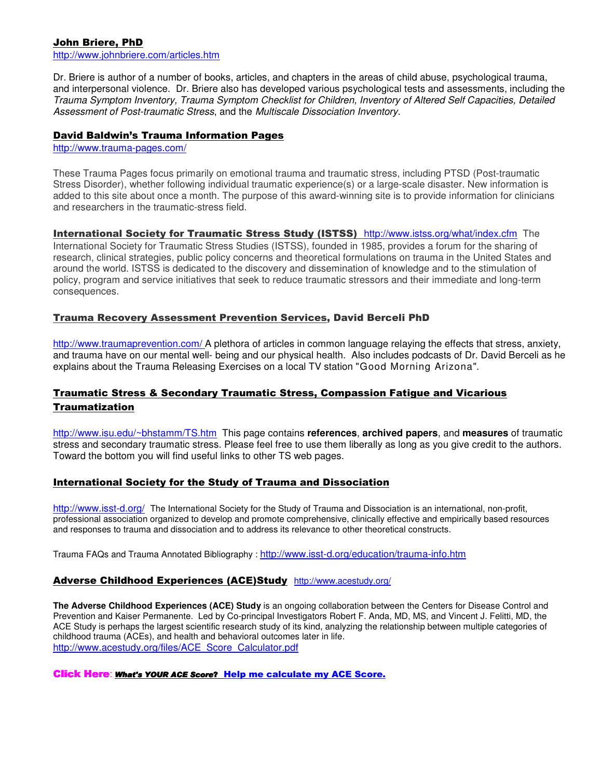# John Briere, PhD

http://www.johnbriere.com/articles.htm

Dr. Briere is author of a number of books, articles, and chapters in the areas of child abuse, psychological trauma, and interpersonal violence. Dr. Briere also has developed various psychological tests and assessments, including the Trauma Symptom Inventory, Trauma Symptom Checklist for Children, Inventory of Altered Self Capacities, Detailed Assessment of Post-traumatic Stress, and the Multiscale Dissociation Inventory.

## David Baldwin's Trauma Information Pages

http://www.trauma-pages.com/

These Trauma Pages focus primarily on emotional trauma and traumatic stress, including PTSD (Post-traumatic Stress Disorder), whether following individual traumatic experience(s) or a large-scale disaster. New information is added to this site about once a month. The purpose of this award-winning site is to provide information for clinicians and researchers in the traumatic-stress field.

## International Society for Traumatic Stress Study (ISTSS) http://www.istss.org/what/index.cfm The

International Society for Traumatic Stress Studies (ISTSS), founded in 1985, provides a forum for the sharing of research, clinical strategies, public policy concerns and theoretical formulations on trauma in the United States and around the world. ISTSS is dedicated to the discovery and dissemination of knowledge and to the stimulation of policy, program and service initiatives that seek to reduce traumatic stressors and their immediate and long-term consequences.

## Trauma Recovery Assessment Prevention Services, David Berceli PhD

http://www.traumaprevention.com/ A plethora of articles in common language relaying the effects that stress, anxiety, and trauma have on our mental well- being and our physical health. Also includes podcasts of Dr. David Berceli as he explains about the Trauma Releasing Exercises on a local TV station "Good Morning Arizona".

# Traumatic Stress & Secondary Traumatic Stress, Compassion Fatigue and Vicarious **Traumatization**

http://www.isu.edu/~bhstamm/TS.htmThis page contains **references**, **archived papers**, and **measures** of traumatic stress and secondary traumatic stress. Please feel free to use them liberally as long as you give credit to the authors. Toward the bottom you will find useful links to other TS web pages.

# International Society for the Study of Trauma and Dissociation

http://www.isst-d.org/ The International Society for the Study of Trauma and Dissociation is an international, non-profit, professional association organized to develop and promote comprehensive, clinically effective and empirically based resources and responses to trauma and dissociation and to address its relevance to other theoretical constructs.

Trauma FAQs and Trauma Annotated Bibliography : http://www.isst-d.org/education/trauma-info.htm

# Adverse Childhood Experiences (ACE)Study http://www.acestudy.org/

**The Adverse Childhood Experiences (ACE) Study** is an ongoing collaboration between the Centers for Disease Control and Prevention and Kaiser Permanente. Led by Co-principal Investigators Robert F. Anda, MD, MS, and Vincent J. Felitti, MD, the ACE Study is perhaps the largest scientific research study of its kind, analyzing the relationship between multiple categories of childhood trauma (ACEs), and health and behavioral outcomes later in life. http://www.acestudy.org/files/ACE\_Score\_Calculator.pdf

Click Here: What's YOUR ACE Score? Help me calculate my ACE Score.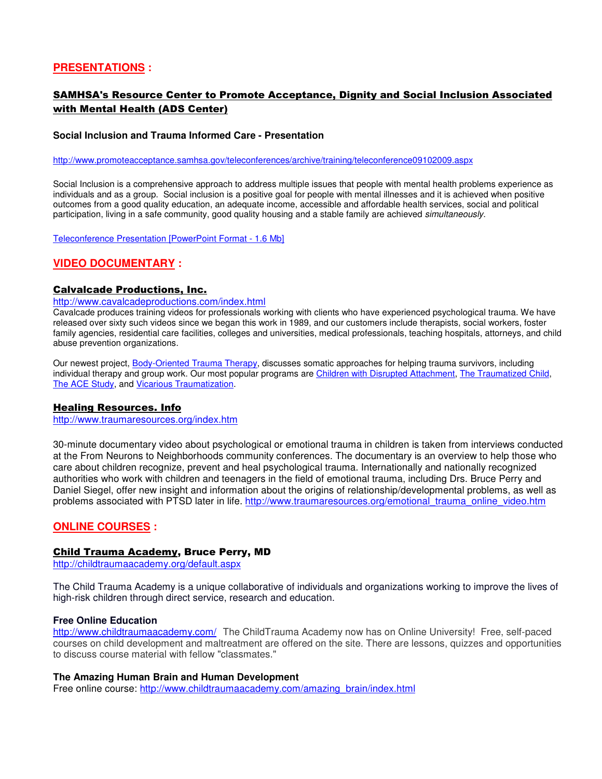# **PRESENTATIONS :**

# SAMHSA's Resource Center to Promote Acceptance, Dignity and Social Inclusion Associated with Mental Health (ADS Center)

#### **Social Inclusion and Trauma Informed Care - Presentation**

#### http://www.promoteacceptance.samhsa.gov/teleconferences/archive/training/teleconference09102009.aspx

Social Inclusion is a comprehensive approach to address multiple issues that people with mental health problems experience as individuals and as a group. Social inclusion is a positive goal for people with mental illnesses and it is achieved when positive outcomes from a good quality education, an adequate income, accessible and affordable health services, social and political participation, living in a safe community, good quality housing and a stable family are achieved simultaneously.

Teleconference Presentation [PowerPoint Format - 1.6 Mb]

# **VIDEO DOCUMENTARY :**

## Calvalcade Productions, Inc.

#### http://www.cavalcadeproductions.com/index.html

Cavalcade produces training videos for professionals working with clients who have experienced psychological trauma. We have released over sixty such videos since we began this work in 1989, and our customers include therapists, social workers, foster family agencies, residential care facilities, colleges and universities, medical professionals, teaching hospitals, attorneys, and child abuse prevention organizations.

Our newest project, Body-Oriented Trauma Therapy, discusses somatic approaches for helping trauma survivors, including individual therapy and group work. Our most popular programs are Children with Disrupted Attachment, The Traumatized Child, The ACE Study, and Vicarious Traumatization.

#### Healing Resources. Info

http://www.traumaresources.org/index.htm

30-minute documentary video about psychological or emotional trauma in children is taken from interviews conducted at the From Neurons to Neighborhoods community conferences. The documentary is an overview to help those who care about children recognize, prevent and heal psychological trauma. Internationally and nationally recognized authorities who work with children and teenagers in the field of emotional trauma, including Drs. Bruce Perry and Daniel Siegel, offer new insight and information about the origins of relationship/developmental problems, as well as problems associated with PTSD later in life. http://www.traumaresources.org/emotional\_trauma\_online\_video.htm

# **ONLINE COURSES :**

#### Child Trauma Academy, Bruce Perry, MD

http://childtraumaacademy.org/default.aspx

The Child Trauma Academy is a unique collaborative of individuals and organizations working to improve the lives of high-risk children through direct service, research and education.

#### **Free Online Education**

http://www.childtraumaacademy.com/ The ChildTrauma Academy now has on Online University! Free, self-paced courses on child development and maltreatment are offered on the site. There are lessons, quizzes and opportunities to discuss course material with fellow "classmates."

#### **The Amazing Human Brain and Human Development**

Free online course: http://www.childtraumaacademy.com/amazing\_brain/index.html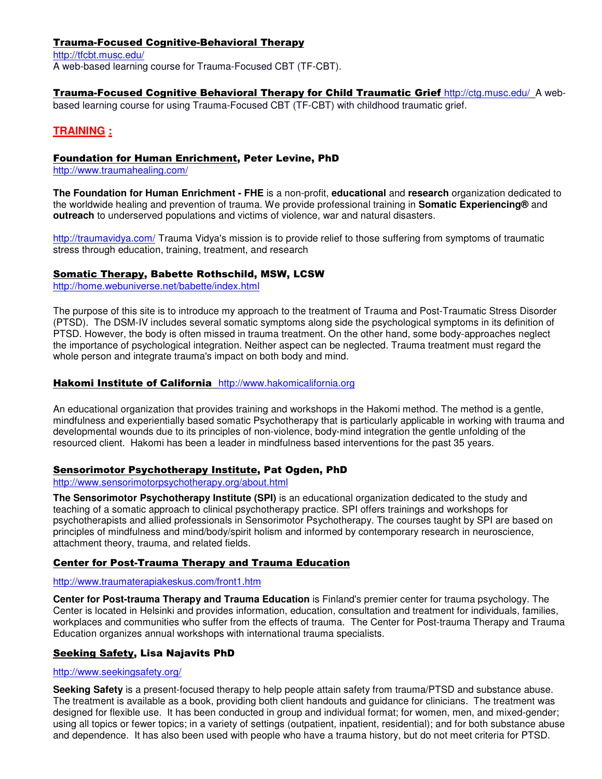# Trauma-Focused Cognitive-Behavioral Therapy

http://tfcbt.musc.edu/ A web-based learning course for Trauma-Focused CBT (TF-CBT).

Trauma-Focused Cognitive Behavioral Therapy for Child Traumatic Grief http://ctg.musc.edu/A web-

based learning course for using Trauma-Focused CBT (TF-CBT) with childhood traumatic grief.

# **TRAINING :**

# Foundation for Human Enrichment, Peter Levine, PhD

http://www.traumahealing.com/

**The Foundation for Human Enrichment - FHE** is a non-profit, **educational** and **research** organization dedicated to the worldwide healing and prevention of trauma. We provide professional training in **Somatic Experiencing®** and **outreach** to underserved populations and victims of violence, war and natural disasters.

http://traumavidya.com/ Trauma Vidya's mission is to provide relief to those suffering from symptoms of traumatic stress through education, training, treatment, and research

# Somatic Therapy, Babette Rothschild, MSW, LCSW

http://home.webuniverse.net/babette/index.html

The purpose of this site is to introduce my approach to the treatment of Trauma and Post-Traumatic Stress Disorder (PTSD). The DSM-IV includes several somatic symptoms along side the psychological symptoms in its definition of PTSD. However, the body is often missed in trauma treatment. On the other hand, some body-approaches neglect the importance of psychological integration. Neither aspect can be neglected. Trauma treatment must regard the whole person and integrate trauma's impact on both body and mind.

## Hakomi Institute of California http://www.hakomicalifornia.org

An educational organization that provides training and workshops in the Hakomi method. The method is a gentle, mindfulness and experientially based somatic Psychotherapy that is particularly applicable in working with trauma and developmental wounds due to its principles of non-violence, body-mind integration the gentle unfolding of the resourced client. Hakomi has been a leader in mindfulness based interventions for the past 35 years.

# Sensorimotor Psychotherapy Institute, Pat Ogden, PhD

http://www.sensorimotorpsychotherapy.org/about.html

**The Sensorimotor Psychotherapy Institute (SPI)** is an educational organization dedicated to the study and teaching of a somatic approach to clinical psychotherapy practice. SPI offers trainings and workshops for psychotherapists and allied professionals in Sensorimotor Psychotherapy. The courses taught by SPI are based on principles of mindfulness and mind/body/spirit holism and informed by contemporary research in neuroscience, attachment theory, trauma, and related fields.

# Center for Post-Trauma Therapy and Trauma Education

### http://www.traumaterapiakeskus.com/front1.htm

**Center for Post-trauma Therapy and Trauma Education** is Finland's premier center for trauma psychology. The Center is located in Helsinki and provides information, education, consultation and treatment for individuals, families, workplaces and communities who suffer from the effects of trauma. The Center for Post-trauma Therapy and Trauma Education organizes annual workshops with international trauma specialists.

# Seeking Safety, Lisa Najavits PhD

#### http://www.seekingsafety.org/

**Seeking Safety** is a present-focused therapy to help people attain safety from trauma/PTSD and substance abuse. The treatment is available as a book, providing both client handouts and guidance for clinicians. The treatment was designed for flexible use. It has been conducted in group and individual format; for women, men, and mixed-gender; using all topics or fewer topics; in a variety of settings (outpatient, inpatient, residential); and for both substance abuse and dependence. It has also been used with people who have a trauma history, but do not meet criteria for PTSD.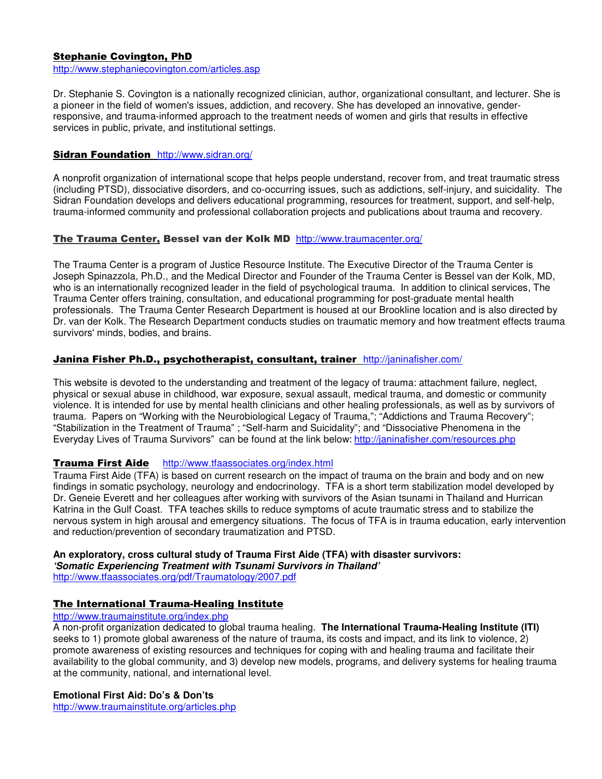# Stephanie Covington, PhD

http://www.stephaniecovington.com/articles.asp

Dr. Stephanie S. Covington is a nationally recognized clinician, author, organizational consultant, and lecturer. She is a pioneer in the field of women's issues, addiction, and recovery. She has developed an innovative, genderresponsive, and trauma-informed approach to the treatment needs of women and girls that results in effective services in public, private, and institutional settings.

# Sidran Foundation http://www.sidran.org/

A nonprofit organization of international scope that helps people understand, recover from, and treat traumatic stress (including PTSD), dissociative disorders, and co-occurring issues, such as addictions, self-injury, and suicidality. The Sidran Foundation develops and delivers educational programming, resources for treatment, support, and self-help, trauma-informed community and professional collaboration projects and publications about trauma and recovery.

# The Trauma Center, Bessel van der Kolk MD http://www.traumacenter.org/

The Trauma Center is a program of Justice Resource Institute. The Executive Director of the Trauma Center is Joseph Spinazzola, Ph.D., and the Medical Director and Founder of the Trauma Center is Bessel van der Kolk, MD, who is an internationally recognized leader in the field of psychological trauma. In addition to clinical services, The Trauma Center offers training, consultation, and educational programming for post-graduate mental health professionals. The Trauma Center Research Department is housed at our Brookline location and is also directed by Dr. van der Kolk. The Research Department conducts studies on traumatic memory and how treatment effects trauma survivors' minds, bodies, and brains.

## Janina Fisher Ph.D., psychotherapist, consultant, trainer http://janinafisher.com/

This website is devoted to the understanding and treatment of the legacy of trauma: attachment failure, neglect, physical or sexual abuse in childhood, war exposure, sexual assault, medical trauma, and domestic or community violence. It is intended for use by mental health clinicians and other healing professionals, as well as by survivors of trauma. Papers on "Working with the Neurobiological Legacy of Trauma,"; "Addictions and Trauma Recovery"; "Stabilization in the Treatment of Trauma" ; "Self-harm and Suicidality"; and "Dissociative Phenomena in the Everyday Lives of Trauma Survivors" can be found at the link below: http://janinafisher.com/resources.php

# Trauma First Aide http://www.tfaassociates.org/index.html

Trauma First Aide (TFA) is based on current research on the impact of trauma on the brain and body and on new findings in somatic psychology, neurology and endocrinology. TFA is a short term stabilization model developed by Dr. Geneie Everett and her colleagues after working with survivors of the Asian tsunami in Thailand and Hurrican Katrina in the Gulf Coast. TFA teaches skills to reduce symptoms of acute traumatic stress and to stabilize the nervous system in high arousal and emergency situations. The focus of TFA is in trauma education, early intervention and reduction/prevention of secondary traumatization and PTSD.

# **An exploratory, cross cultural study of Trauma First Aide (TFA) with disaster survivors:**

**'Somatic Experiencing Treatment with Tsunami Survivors in Thailand'** 

http://www.tfaassociates.org/pdf/Traumatology/2007.pdf

# The International Trauma-Healing Institute

# http://www.traumainstitute.org/index.php

A non-profit organization dedicated to global trauma healing. **The International Trauma-Healing Institute (ITI)**  seeks to 1) promote global awareness of the nature of trauma, its costs and impact, and its link to violence, 2) promote awareness of existing resources and techniques for coping with and healing trauma and facilitate their availability to the global community, and 3) develop new models, programs, and delivery systems for healing trauma at the community, national, and international level.

#### **Emotional First Aid: Do's & Don'ts**

http://www.traumainstitute.org/articles.php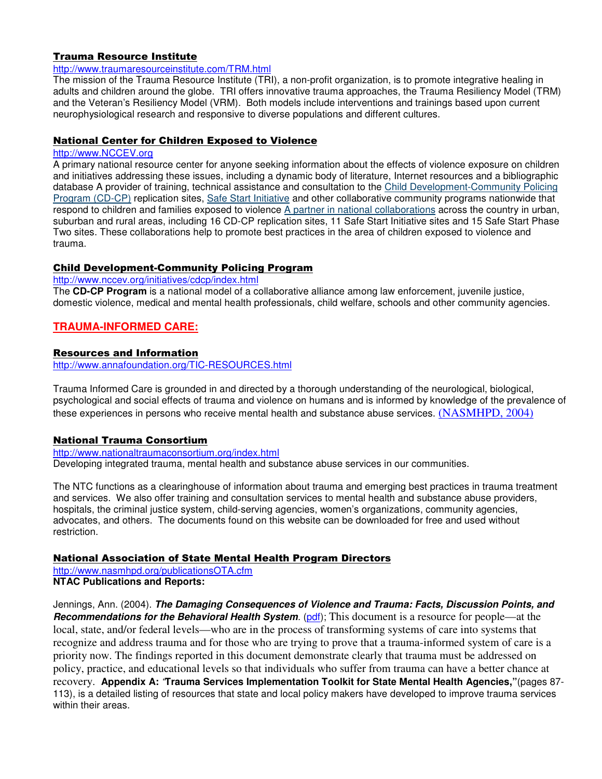# Trauma Resource Institute

#### http://www.traumaresourceinstitute.com/TRM.html

The mission of the Trauma Resource Institute (TRI), a non-profit organization, is to promote integrative healing in adults and children around the globe. TRI offers innovative trauma approaches, the Trauma Resiliency Model (TRM) and the Veteran's Resiliency Model (VRM). Both models include interventions and trainings based upon current neurophysiological research and responsive to diverse populations and different cultures.

### National Center for Children Exposed to Violence

#### http://www.NCCEV.org

A primary national resource center for anyone seeking information about the effects of violence exposure on children and initiatives addressing these issues, including a dynamic body of literature, Internet resources and a bibliographic database A provider of training, technical assistance and consultation to the Child Development-Community Policing Program (CD-CP) replication sites, Safe Start Initiative and other collaborative community programs nationwide that respond to children and families exposed to violence A partner in national collaborations across the country in urban, suburban and rural areas, including 16 CD-CP replication sites, 11 Safe Start Initiative sites and 15 Safe Start Phase Two sites. These collaborations help to promote best practices in the area of children exposed to violence and trauma.

#### Child Development-Community Policing Program

http://www.nccev.org/initiatives/cdcp/index.html

The **CD-CP Program** is a national model of a collaborative alliance among law enforcement, juvenile justice, domestic violence, medical and mental health professionals, child welfare, schools and other community agencies.

# **TRAUMA-INFORMED CARE:**

#### Resources and Information

http://www.annafoundation.org/TIC-RESOURCES.html

Trauma Informed Care is grounded in and directed by a thorough understanding of the neurological, biological, psychological and social effects of trauma and violence on humans and is informed by knowledge of the prevalence of these experiences in persons who receive mental health and substance abuse services. (NASMHPD, 2004)

#### National Trauma Consortium

http://www.nationaltraumaconsortium.org/index.html Developing integrated trauma, mental health and substance abuse services in our communities.

The NTC functions as a clearinghouse of information about trauma and emerging best practices in trauma treatment and services. We also offer training and consultation services to mental health and substance abuse providers, hospitals, the criminal justice system, child-serving agencies, women's organizations, community agencies, advocates, and others. The documents found on this website can be downloaded for free and used without restriction.

### National Association of State Mental Health Program Directors

http://www.nasmhpd.org/publicationsOTA.cfm **NTAC Publications and Reports:** 

Jennings, Ann. (2004). **The Damaging Consequences of Violence and Trauma: Facts, Discussion Points, and Recommendations for the Behavioral Health System.** (pdf); This document is a resource for people—at the local, state, and/or federal levels—who are in the process of transforming systems of care into systems that recognize and address trauma and for those who are trying to prove that a trauma-informed system of care is a priority now. The findings reported in this document demonstrate clearly that trauma must be addressed on policy, practice, and educational levels so that individuals who suffer from trauma can have a better chance at recovery. **Appendix A:** "**Trauma Services Implementation Toolkit for State Mental Health Agencies,"**(pages 87- 113), is a detailed listing of resources that state and local policy makers have developed to improve trauma services within their areas.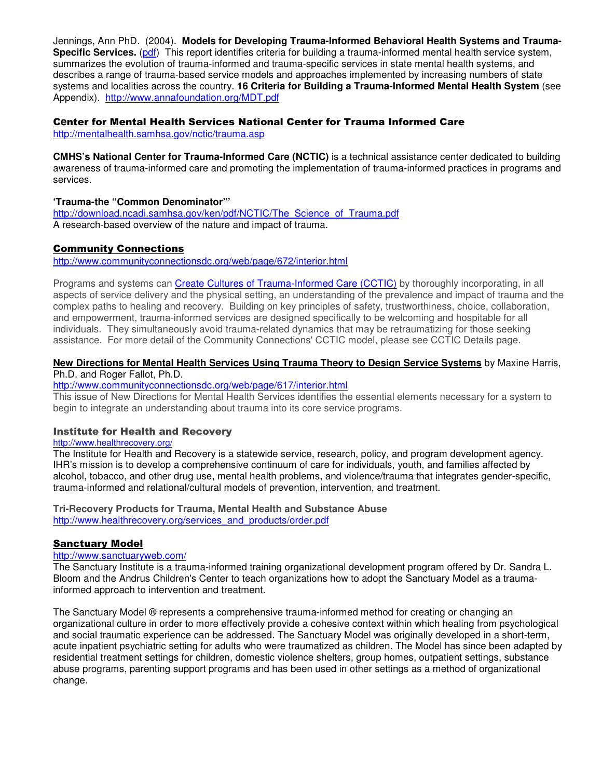Jennings, Ann PhD. (2004). **Models for Developing Trauma-Informed Behavioral Health Systems and Trauma-Specific Services.** (pdf) This report identifies criteria for building a trauma-informed mental health service system, summarizes the evolution of trauma-informed and trauma-specific services in state mental health systems, and describes a range of trauma-based service models and approaches implemented by increasing numbers of state systems and localities across the country. **16 Criteria for Building a Trauma-Informed Mental Health System** (see Appendix).http://www.annafoundation.org/MDT.pdf

# C**e**nter for Mental Health Services National Center for Trauma Informed Care

http://mentalhealth.samhsa.gov/nctic/trauma.asp

**CMHS's National Center for Trauma-Informed Care (NCTIC)** is a technical assistance center dedicated to building awareness of trauma-informed care and promoting the implementation of trauma-informed practices in programs and services.

# **'Trauma-the "Common Denominator"'**

http://download.ncadi.samhsa.gov/ken/pdf/NCTIC/The\_Science\_of\_Trauma.pdf A research-based overview of the nature and impact of trauma.

# Community Connections

http://www.communityconnectionsdc.org/web/page/672/interior.html

Programs and systems can Create Cultures of Trauma-Informed Care (CCTIC) by thoroughly incorporating, in all aspects of service delivery and the physical setting, an understanding of the prevalence and impact of trauma and the complex paths to healing and recovery. Building on key principles of safety, trustworthiness, choice, collaboration, and empowerment, trauma-informed services are designed specifically to be welcoming and hospitable for all individuals. They simultaneously avoid trauma-related dynamics that may be retraumatizing for those seeking assistance. For more detail of the Community Connections' CCTIC model, please see CCTIC Details page.

#### **New Directions for Mental Health Services Using Trauma Theory to Design Service Systems** by Maxine Harris, Ph.D. and Roger Fallot, Ph.D.

http://www.communityconnectionsdc.org/web/page/617/interior.html

This issue of New Directions for Mental Health Services identifies the essential elements necessary for a system to begin to integrate an understanding about trauma into its core service programs.

#### Institute for Health and Recovery

#### http://www.healthrecovery.org/

The Institute for Health and Recovery is a statewide service, research, policy, and program development agency. IHR's mission is to develop a comprehensive continuum of care for individuals, youth, and families affected by alcohol, tobacco, and other drug use, mental health problems, and violence/trauma that integrates gender-specific, trauma-informed and relational/cultural models of prevention, intervention, and treatment.

#### **Tri-Recovery Products for Trauma, Mental Health and Substance Abuse**  http://www.healthrecovery.org/services\_and\_products/order.pdf

#### Sanctuary Model

#### http://www.sanctuaryweb.com/

The Sanctuary Institute is a trauma-informed training organizational development program offered by Dr. Sandra L. Bloom and the Andrus Children's Center to teach organizations how to adopt the Sanctuary Model as a traumainformed approach to intervention and treatment.

The Sanctuary Model ® represents a comprehensive trauma-informed method for creating or changing an organizational culture in order to more effectively provide a cohesive context within which healing from psychological and social traumatic experience can be addressed. The Sanctuary Model was originally developed in a short-term, acute inpatient psychiatric setting for adults who were traumatized as children. The Model has since been adapted by residential treatment settings for children, domestic violence shelters, group homes, outpatient settings, substance abuse programs, parenting support programs and has been used in other settings as a method of organizational change.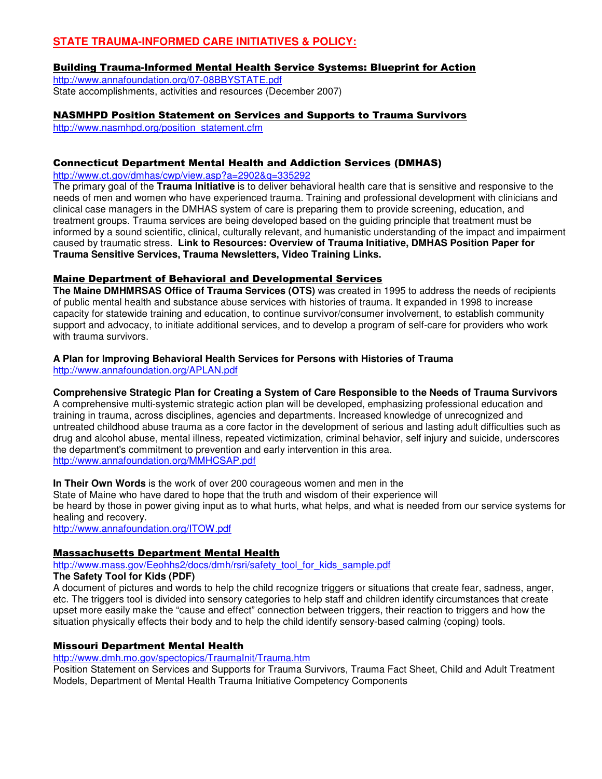# **STATE TRAUMA-INFORMED CARE INITIATIVES & POLICY:**

# Building Trauma-Informed Mental Health Service Systems: Blueprint for Action

http://www.annafoundation.org/07-08BBYSTATE.pdf State accomplishments, activities and resources (December 2007)

# NASMHPD Position Statement on Services and Supports to Trauma Survivors

http://www.nasmhpd.org/position\_statement.cfm

## Connecticut Department Mental Health and Addiction Services (DMHAS)

http://www.ct.gov/dmhas/cwp/view.asp?a=2902&q=335292

The primary goal of the **Trauma Initiative** is to deliver behavioral health care that is sensitive and responsive to the needs of men and women who have experienced trauma. Training and professional development with clinicians and clinical case managers in the DMHAS system of care is preparing them to provide screening, education, and treatment groups. Trauma services are being developed based on the guiding principle that treatment must be informed by a sound scientific, clinical, culturally relevant, and humanistic understanding of the impact and impairment caused by traumatic stress. **Link to Resources: Overview of Trauma Initiative, DMHAS Position Paper for Trauma Sensitive Services, Trauma Newsletters, Video Training Links.** 

# Maine Department of Behavioral and Developmental Services

**The Maine DMHMRSAS Office of Trauma Services (OTS)** was created in 1995 to address the needs of recipients of public mental health and substance abuse services with histories of trauma. It expanded in 1998 to increase capacity for statewide training and education, to continue survivor/consumer involvement, to establish community support and advocacy, to initiate additional services, and to develop a program of self-care for providers who work with trauma survivors.

#### **A Plan for Improving Behavioral Health Services for Persons with Histories of Trauma**  http://www.annafoundation.org/APLAN.pdf

# **Comprehensive Strategic Plan for Creating a System of Care Responsible to the Needs of Trauma Survivors**

A comprehensive multi-systemic strategic action plan will be developed, emphasizing professional education and training in trauma, across disciplines, agencies and departments. Increased knowledge of unrecognized and untreated childhood abuse trauma as a core factor in the development of serious and lasting adult difficulties such as drug and alcohol abuse, mental illness, repeated victimization, criminal behavior, self injury and suicide, underscores the department's commitment to prevention and early intervention in this area. http://www.annafoundation.org/MMHCSAP.pdf

**In Their Own Words** is the work of over 200 courageous women and men in the

State of Maine who have dared to hope that the truth and wisdom of their experience will

be heard by those in power giving input as to what hurts, what helps, and what is needed from our service systems for healing and recovery.

http://www.annafoundation.org/ITOW.pdf

# Massachusetts Department Mental Health

http://www.mass.gov/Eeohhs2/docs/dmh/rsri/safety\_tool\_for\_kids\_sample.pdf **The Safety Tool for Kids (PDF)** 

A document of pictures and words to help the child recognize triggers or situations that create fear, sadness, anger, etc. The triggers tool is divided into sensory categories to help staff and children identify circumstances that create upset more easily make the "cause and effect" connection between triggers, their reaction to triggers and how the situation physically effects their body and to help the child identify sensory-based calming (coping) tools.

# Missouri Department Mental Health

http://www.dmh.mo.gov/spectopics/TraumaInit/Trauma.htm

Position Statement on Services and Supports for Trauma Survivors, Trauma Fact Sheet, Child and Adult Treatment Models, Department of Mental Health Trauma Initiative Competency Components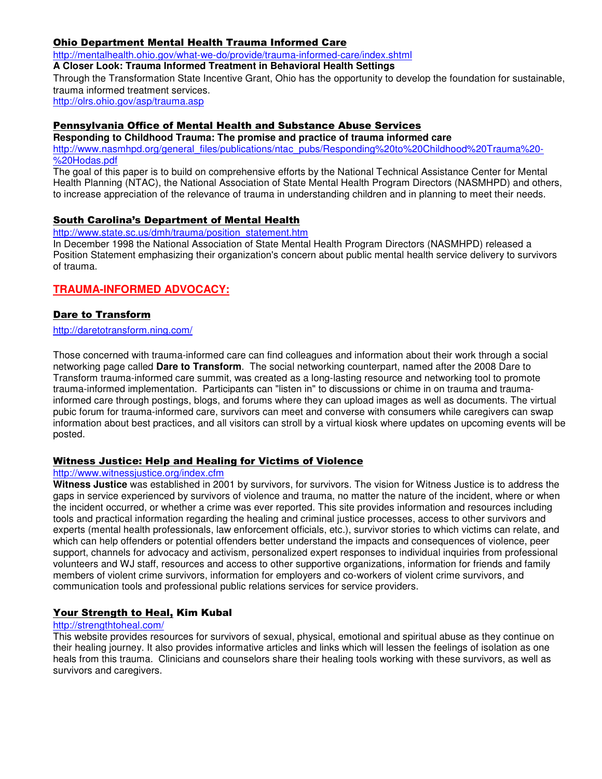# Ohio Department Mental Health Trauma Informed Care

http://mentalhealth.ohio.gov/what-we-do/provide/trauma-informed-care/index.shtml

**A Closer Look: Trauma Informed Treatment in Behavioral Health Settings** 

Through the Transformation State Incentive Grant, Ohio has the opportunity to develop the foundation for sustainable, trauma informed treatment services.

http://olrs.ohio.gov/asp/trauma.asp

# Pennsylvania Office of Mental Health and Substance Abuse Services

**Responding to Childhood Trauma: The promise and practice of trauma informed care** http://www.nasmhpd.org/general\_files/publications/ntac\_pubs/Responding%20to%20Childhood%20Trauma%20- %20Hodas.pdf

The goal of this paper is to build on comprehensive efforts by the National Technical Assistance Center for Mental Health Planning (NTAC), the National Association of State Mental Health Program Directors (NASMHPD) and others, to increase appreciation of the relevance of trauma in understanding children and in planning to meet their needs.

## South Carolina's Department of Mental Health

http://www.state.sc.us/dmh/trauma/position\_statement.htm

In December 1998 the National Association of State Mental Health Program Directors (NASMHPD) released a Position Statement emphasizing their organization's concern about public mental health service delivery to survivors of trauma.

# **TRAUMA-INFORMED ADVOCACY:**

# Dare to Transform

http://daretotransform.ning.com/

Those concerned with trauma-informed care can find colleagues and information about their work through a social networking page called **Dare to Transform**. The social networking counterpart, named after the 2008 Dare to Transform trauma-informed care summit, was created as a long-lasting resource and networking tool to promote trauma-informed implementation. Participants can "listen in" to discussions or chime in on trauma and traumainformed care through postings, blogs, and forums where they can upload images as well as documents. The virtual pubic forum for trauma-informed care, survivors can meet and converse with consumers while caregivers can swap information about best practices, and all visitors can stroll by a virtual kiosk where updates on upcoming events will be posted.

# Witness Justice: Help and Healing for Victims of Violence

#### http://www.witnessjustice.org/index.cfm

**Witness Justice** was established in 2001 by survivors, for survivors. The vision for Witness Justice is to address the gaps in service experienced by survivors of violence and trauma, no matter the nature of the incident, where or when the incident occurred, or whether a crime was ever reported. This site provides information and resources including tools and practical information regarding the healing and criminal justice processes, access to other survivors and experts (mental health professionals, law enforcement officials, etc.), survivor stories to which victims can relate, and which can help offenders or potential offenders better understand the impacts and consequences of violence, peer support, channels for advocacy and activism, personalized expert responses to individual inquiries from professional volunteers and WJ staff, resources and access to other supportive organizations, information for friends and family members of violent crime survivors, information for employers and co-workers of violent crime survivors, and communication tools and professional public relations services for service providers.

# Your Strength to Heal, Kim Kubal

#### http://strengthtoheal.com/

This website provides resources for survivors of sexual, physical, emotional and spiritual abuse as they continue on their healing journey. It also provides informative articles and links which will lessen the feelings of isolation as one heals from this trauma. Clinicians and counselors share their healing tools working with these survivors, as well as survivors and caregivers.